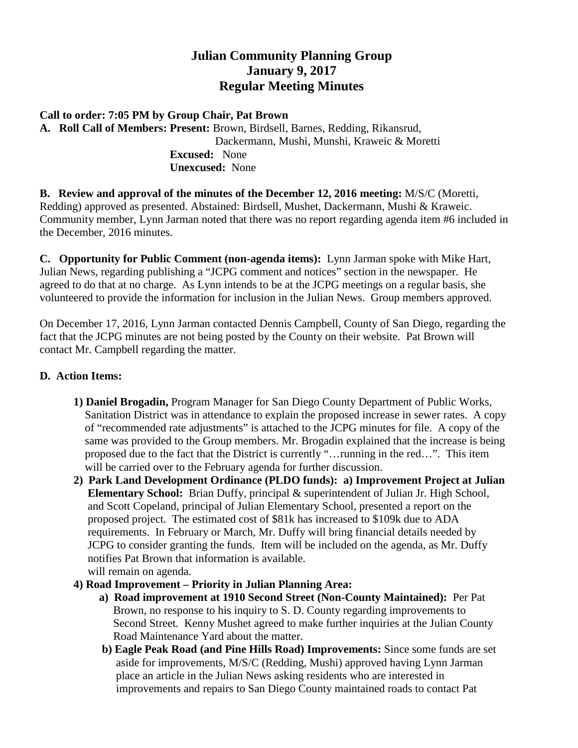## **Julian Community Planning Group January 9, 2017 Regular Meeting Minutes**

## **Call to order: 7:05 PM by Group Chair, Pat Brown**

**A. Roll Call of Members: Present:** Brown, Birdsell, Barnes, Redding, Rikansrud, Dackermann, Mushi, Munshi, Kraweic & Moretti **Excused:** None  **Unexcused:** None

**B. Review and approval of the minutes of the December 12, 2016 meeting:** M/S/C (Moretti, Redding) approved as presented. Abstained: Birdsell, Mushet, Dackermann, Mushi & Kraweic. Community member, Lynn Jarman noted that there was no report regarding agenda item #6 included in the December, 2016 minutes.

**C. Opportunity for Public Comment (non-agenda items):** Lynn Jarman spoke with Mike Hart, Julian News, regarding publishing a "JCPG comment and notices" section in the newspaper. He agreed to do that at no charge. As Lynn intends to be at the JCPG meetings on a regular basis, she volunteered to provide the information for inclusion in the Julian News. Group members approved.

On December 17, 2016, Lynn Jarman contacted Dennis Campbell, County of San Diego, regarding the fact that the JCPG minutes are not being posted by the County on their website. Pat Brown will contact Mr. Campbell regarding the matter.

## **D. Action Items:**

- **1) Daniel Brogadin,** Program Manager for San Diego County Department of Public Works, Sanitation District was in attendance to explain the proposed increase in sewer rates. A copy of "recommended rate adjustments" is attached to the JCPG minutes for file. A copy of the same was provided to the Group members. Mr. Brogadin explained that the increase is being proposed due to the fact that the District is currently "…running in the red…". This item will be carried over to the February agenda for further discussion.
- **2) Park Land Development Ordinance (PLDO funds): a) Improvement Project at Julian Elementary School:** Brian Duffy, principal & superintendent of Julian Jr. High School, and Scott Copeland, principal of Julian Elementary School, presented a report on the proposed project. The estimated cost of \$81k has increased to \$109k due to ADA requirements. In February or March, Mr. Duffy will bring financial details needed by JCPG to consider granting the funds. Item will be included on the agenda, as Mr. Duffy notifies Pat Brown that information is available. will remain on agenda.
- **4) Road Improvement – Priority in Julian Planning Area:**
	- **a) Road improvement at 1910 Second Street (Non-County Maintained):** Per Pat Brown, no response to his inquiry to S. D. County regarding improvements to Second Street. Kenny Mushet agreed to make further inquiries at the Julian County Road Maintenance Yard about the matter.
	- **b) Eagle Peak Road (and Pine Hills Road) Improvements:** Since some funds are set aside for improvements, M/S/C (Redding, Mushi) approved having Lynn Jarman place an article in the Julian News asking residents who are interested in improvements and repairs to San Diego County maintained roads to contact Pat